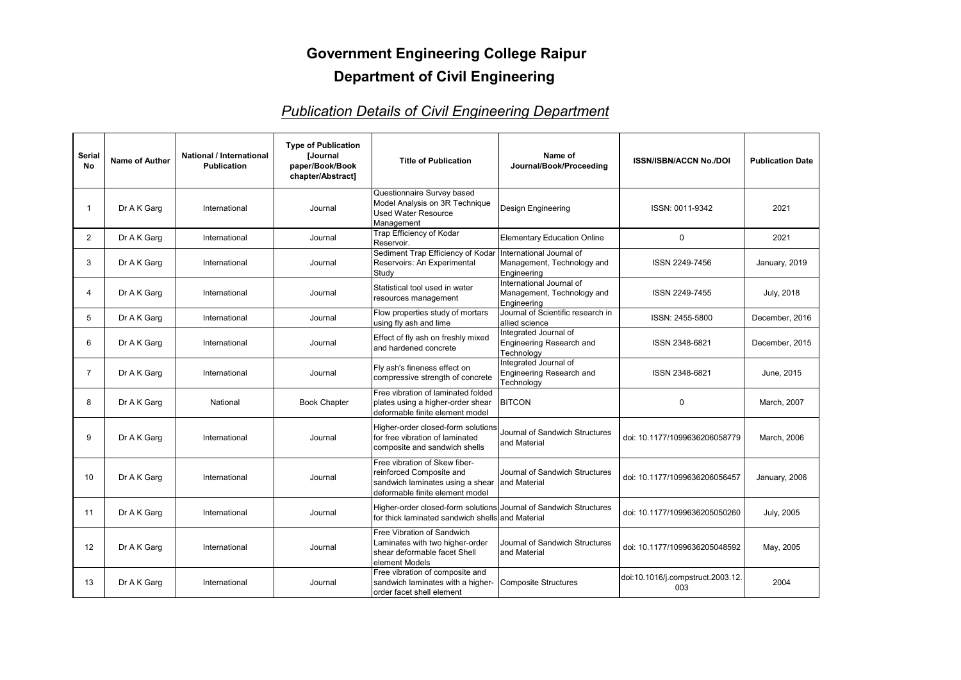| <b>Serial</b><br><b>No</b> | <b>Name of Auther</b> | National / International<br><b>Publication</b> | <b>Type of Publication</b><br>[Journal<br>paper/Book/Book<br>chapter/Abstract] | <b>Title of Publication</b>                                                                                                      | Name of<br>Journal/Book/Proceeding                                    | <b>ISSN/ISBN/ACCN No./DOI</b>            | <b>Publication Date</b> |
|----------------------------|-----------------------|------------------------------------------------|--------------------------------------------------------------------------------|----------------------------------------------------------------------------------------------------------------------------------|-----------------------------------------------------------------------|------------------------------------------|-------------------------|
|                            | Dr A K Garg           | International                                  | Journal                                                                        | Questionnaire Survey based<br>Model Analysis on 3R Technique<br>Used Water Resource<br>Management                                | Design Engineering                                                    | ISSN: 0011-9342                          | 2021                    |
| $\overline{2}$             | Dr A K Garg           | International                                  | Journal                                                                        | Trap Efficiency of Kodar<br>Reservoir.                                                                                           | <b>Elementary Education Online</b>                                    | $\pmb{0}$                                | 2021                    |
| 3                          | Dr A K Garg           | International                                  | Journal                                                                        | Sediment Trap Efficiency of Kodar   International Journal of<br>Reservoirs: An Experimental<br>Study                             | Management, Technology and<br>Engineering                             | ISSN 2249-7456                           | January, 2019           |
| 4                          | Dr A K Garg           | International                                  | Journal                                                                        | Statistical tool used in water<br>resources management                                                                           | International Journal of<br>Management, Technology and<br>Engineering | ISSN 2249-7455                           | <b>July, 2018</b>       |
| 5                          | Dr A K Garg           | International                                  | Journal                                                                        | Flow properties study of mortars<br>using fly ash and lime                                                                       | Journal of Scientific research in<br>allied science                   | ISSN: 2455-5800                          | December, 2016          |
| 6                          | Dr A K Garg           | International                                  | Journal                                                                        | Effect of fly ash on freshly mixed<br>and hardened concrete                                                                      | Integrated Journal of<br>Engineering Research and<br>Technology       | ISSN 2348-6821                           | December, 2015          |
| 7                          | Dr A K Garg           | International                                  | Journal                                                                        | Fly ash's fineness effect on<br>compressive strength of concrete                                                                 | Integrated Journal of<br>Engineering Research and<br>Technology       | ISSN 2348-6821                           | June, 2015              |
| 8                          | Dr A K Garg           | National                                       | <b>Book Chapter</b>                                                            | Free vibration of laminated folded<br>plates using a higher-order shear<br>deformable finite element model                       | <b>BITCON</b>                                                         | $\boldsymbol{0}$                         | March, 2007             |
| 9                          | Dr A K Garg           | International                                  | Journal                                                                        | Higher-order closed-form solutions<br>for free vibration of laminated<br>composite and sandwich shells                           | Journal of Sandwich Structures<br>and Material                        | doi: 10.1177/1099636206058779            | March, 2006             |
| 10                         | Dr A K Garg           | International                                  | Journal                                                                        | Free vibration of Skew fiber-<br>reinforced Composite and<br>sandwich laminates using a shear<br>deformable finite element model | Journal of Sandwich Structures<br>and Material                        | doi: 10.1177/1099636206056457            | January, 2006           |
| 11                         | Dr A K Garg           | International                                  | Journal                                                                        | Higher-order closed-form solutions Journal of Sandwich Structures<br>for thick laminated sandwich shells and Material            |                                                                       | doi: 10.1177/1099636205050260            | <b>July, 2005</b>       |
| 12                         | Dr A K Garg           | International                                  | Journal                                                                        | Free Vibration of Sandwich<br>Laminates with two higher-order<br>shear deformable facet Shell<br>element Models                  | Journal of Sandwich Structures<br>and Material                        | doi: 10.1177/1099636205048592            | May, 2005               |
| 13                         | Dr A K Garg           | International                                  | Journal                                                                        | Free vibration of composite and<br>sandwich laminates with a higher-<br>order facet shell element                                | Composite Structures                                                  | doi:10.1016/j.compstruct.2003.12.<br>003 | 2004                    |

## **Government Engineering College Raipur Department of Civil Engineering**

## *Publication Details of Civil Engineering Department*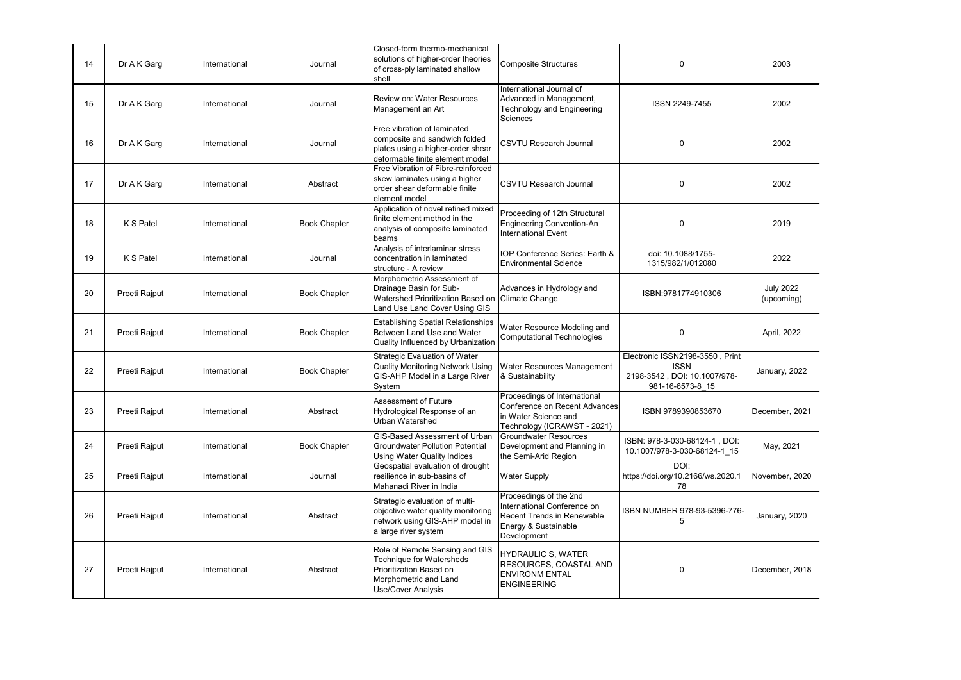| 14 | Dr A K Garg   | International | Journal             | Closed-form thermo-mechanical<br>solutions of higher-order theories<br>of cross-ply laminated shallow<br>shell                              | <b>Composite Structures</b>                                                                                                       | 0                                                                                                  | 2003                           |
|----|---------------|---------------|---------------------|---------------------------------------------------------------------------------------------------------------------------------------------|-----------------------------------------------------------------------------------------------------------------------------------|----------------------------------------------------------------------------------------------------|--------------------------------|
| 15 | Dr A K Garg   | International | Journal             | <b>Review on: Water Resources</b><br>Management an Art                                                                                      | International Journal of<br>Advanced in Management,<br><b>Technology and Engineering</b><br>Sciences                              | ISSN 2249-7455                                                                                     | 2002                           |
| 16 | Dr A K Garg   | International | Journal             | Free vibration of laminated<br>composite and sandwich folded<br>plates using a higher-order shear<br>deformable finite element model        | <b>CSVTU Research Journal</b>                                                                                                     | 0                                                                                                  | 2002                           |
| 17 | Dr A K Garg   | International | Abstract            | Free Vibration of Fibre-reinforced<br>skew laminates using a higher<br>order shear deformable finite<br>element model                       | <b>CSVTU Research Journal</b>                                                                                                     | 0                                                                                                  | 2002                           |
| 18 | K S Patel     | International | <b>Book Chapter</b> | Application of novel refined mixed<br>finite element method in the<br>analysis of composite laminated<br><b>beams</b>                       | Proceeding of 12th Structural<br><b>Engineering Convention-An</b><br><b>International Event</b>                                   | $\mathbf 0$                                                                                        | 2019                           |
| 19 | K S Patel     | International | Journal             | Analysis of interlaminar stress<br>concentration in laminated<br>structure - A review                                                       | IOP Conference Series: Earth &<br><b>Environmental Science</b>                                                                    | doi: 10.1088/1755-<br>1315/982/1/012080                                                            | 2022                           |
| 20 | Preeti Rajput | International | <b>Book Chapter</b> | Morphometric Assessment of<br>Drainage Basin for Sub-<br>Watershed Prioritization Based on<br>Land Use Land Cover Using GIS                 | Advances in Hydrology and<br>Climate Change                                                                                       | ISBN:9781774910306                                                                                 | <b>July 2022</b><br>(upcoming) |
| 21 | Preeti Rajput | International | <b>Book Chapter</b> | <b>Establishing Spatial Relationships</b><br>Between Land Use and Water<br>Quality Influenced by Urbanization                               | Water Resource Modeling and<br><b>Computational Technologies</b>                                                                  | 0                                                                                                  | April, 2022                    |
| 22 | Preeti Rajput | International | <b>Book Chapter</b> | <b>Strategic Evaluation of Water</b><br><b>Quality Monitoring Network Using</b><br>GIS-AHP Model in a Large River<br>System                 | Water Resources Management<br>& Sustainability                                                                                    | Electronic ISSN2198-3550, Print<br><b>ISSN</b><br>2198-3542, DOI: 10.1007/978-<br>981-16-6573-8 15 | January, 2022                  |
| 23 | Preeti Rajput | International | Abstract            | Assessment of Future<br>Hydrological Response of an<br><b>Urban Watershed</b>                                                               | Proceedings of International<br>Conference on Recent Advances<br>in Water Science and<br>Technology (ICRAWST - 2021)              | ISBN 9789390853670                                                                                 | December, 2021                 |
| 24 | Preeti Rajput | International | <b>Book Chapter</b> | <b>GIS-Based Assessment of Urban</b><br><b>Groundwater Pollution Potential</b><br><b>Using Water Quality Indices</b>                        | <b>Groundwater Resources</b><br>Development and Planning in<br>the Semi-Arid Region                                               | ISBN: 978-3-030-68124-1, DOI:<br>10.1007/978-3-030-68124-1 15                                      | May, 2021                      |
| 25 | Preeti Rajput | International | Journal             | Geospatial evaluation of drought<br>resilience in sub-basins of<br>Mahanadi River in India                                                  | <b>Water Supply</b>                                                                                                               | DOI:<br>https://doi.org/10.2166/ws.2020.1<br>78                                                    | November, 2020                 |
| 26 | Preeti Rajput | International | Abstract            | Strategic evaluation of multi-<br>objective water quality monitoring<br>network using GIS-AHP model in<br>a large river system              | Proceedings of the 2nd<br>International Conference on<br><b>Recent Trends in Renewable</b><br>Energy & Sustainable<br>Development | ISBN NUMBER 978-93-5396-776-<br>5                                                                  | January, 2020                  |
| 27 | Preeti Rajput | International | Abstract            | Role of Remote Sensing and GIS<br>Technique for Watersheds<br>Prioritization Based on<br>Morphometric and Land<br><b>Use/Cover Analysis</b> | <b>HYDRAULIC S, WATER</b><br>RESOURCES, COASTAL AND<br><b>ENVIRONM ENTAL</b><br><b>ENGINEERING</b>                                | 0                                                                                                  | December, 2018                 |